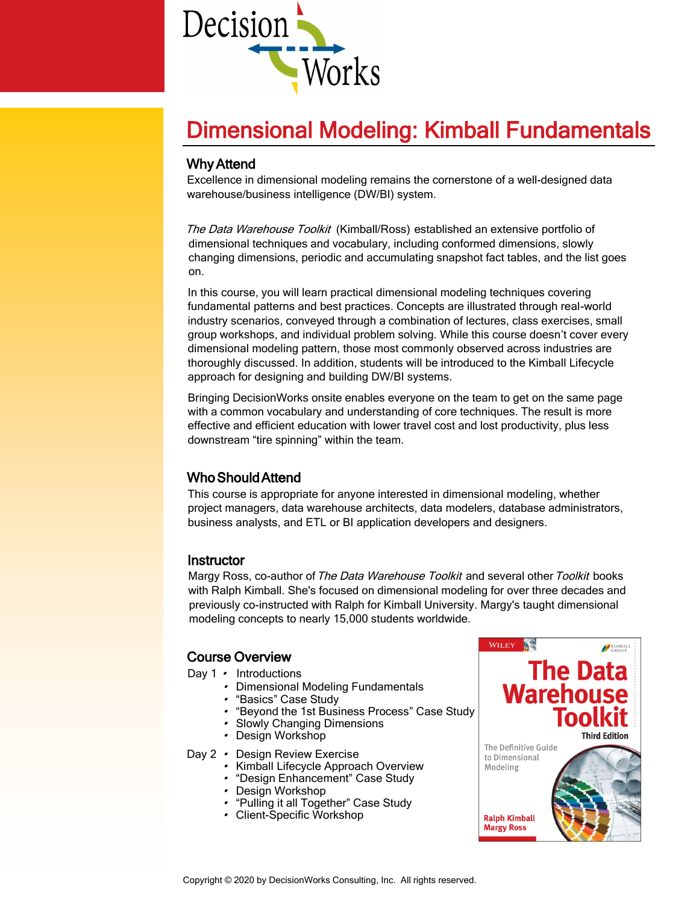

# Why Attend

Excellence in dimensional modeling remains the cornerstone of a well-designed data warehouse/business intelligence (DW/BI) system.

The Data Warehouse Toolkit (Kimball/Ross) established an extensive portfolio of dimensional techniques and vocabulary, including conformed dimensions, slowly changing dimensions, periodic and accumulating snapshot fact tables, and the list goes on.

In this course, you will learn practical dimensional modeling techniques covering fundamental patterns and best practices. Concepts are illustrated through real-world industry scenarios, conveyed through a combination of lectures, class exercises, small group workshops, and individual problem solving. While this course doesn't cover every dimensional modeling pattern, those most commonly observed across industries are thoroughly discussed. In addition, students will be introduced to the Kimball Lifecycle approach for designing and building DW/BI systems.

Bringing DecisionWorks onsite enables everyone on the team to get on the same page with a common vocabulary and understanding of core techniques. The result is more effective and efficient education with lower travel cost and lost productivity, plus less downstream "tire spinning" within the team.

# Who Should Attend

This course is appropriate for anyone interested in dimensional modeling, whether project managers, data warehouse architects, data modelers, database administrators, business analysts, and ETL or BI application developers and designers.

# **Instructor**

Margy Ross, co-author of The Data Warehouse Toolkit and several other Toolkit books with Ralph Kimball. She's focused on dimensional modeling for over three decades and previously co-instructed with Ralph for Kimball University. Margy's taught dimensional modeling concepts to nearly 15,000 students worldwide.

# Course Overview

- Day 1 Introductions
	- Dimensional Modeling Fundamentals
	- "Basics" Case Study
	- "Beyond the 1st Business Process" Case Study
	- Slowly Changing Dimensions
	- Design Workshop

Day 2 • Design Review Exercise

- Kimball Lifecycle Approach Overview
- "Design Enhancement" Case Study
- Design Workshop
- "Pulling it all Together" Case Study
- Client-Specific Workshop